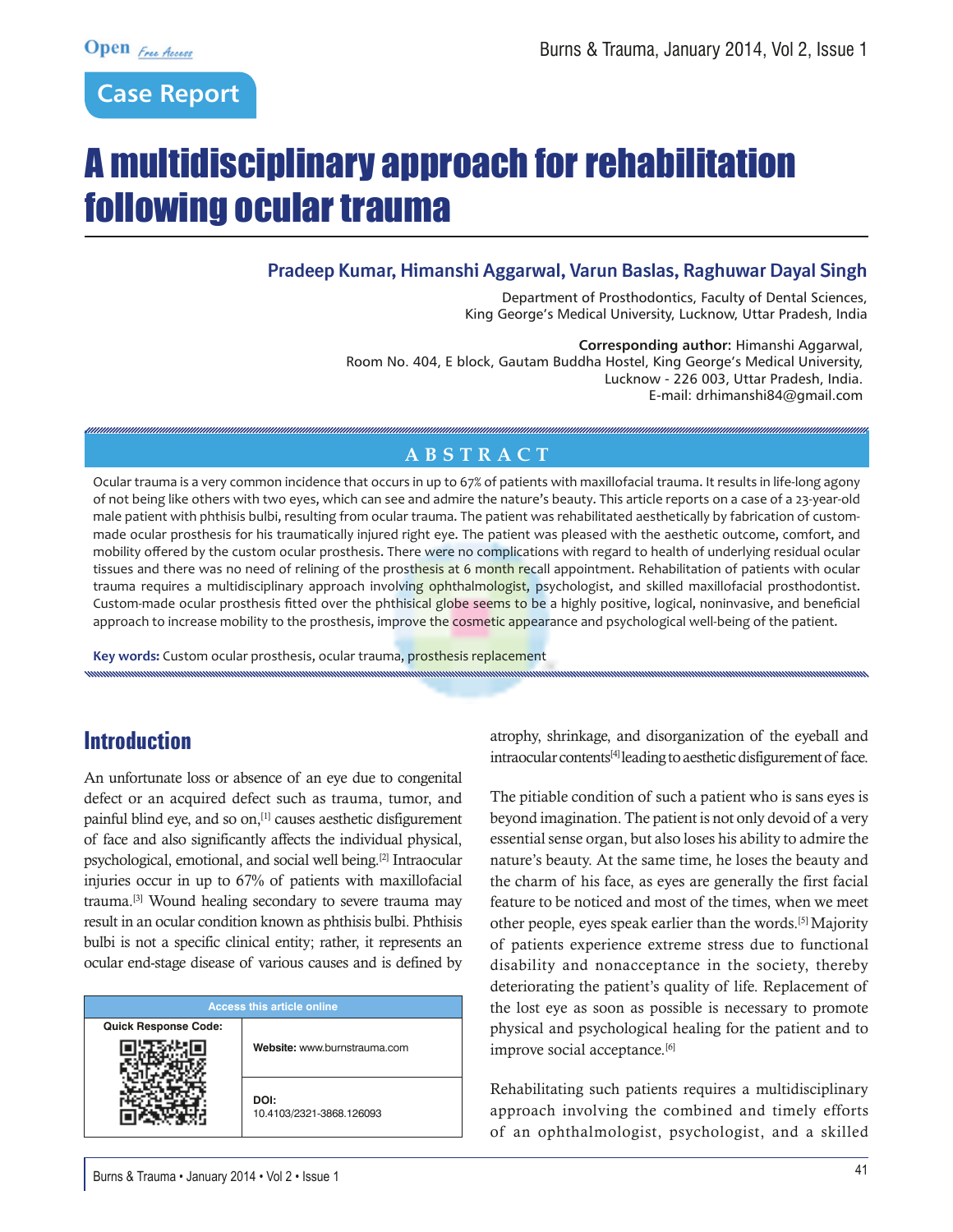## **Case Report**

# A multidisciplinary approach for rehabilitation following ocular trauma

#### **Pradeep Kumar, Himanshi Aggarwal, Varun Baslas, Raghuwar Dayal Singh**

Department of Prosthodontics, Faculty of Dental Sciences, King George's Medical University, Lucknow, Uttar Pradesh, India

**Corresponding author:** Himanshi Aggarwal, Room No. 404, E block, Gautam Buddha Hostel, King George's Medical University, Lucknow - 226 003, Uttar Pradesh, India. E-mail: drhimanshi84@gmail.com

#### **ABSTRACT**

Ocular trauma is a very common incidence that occurs in up to 67% of patients with maxillofacial trauma. It results in life-long agony of not being like others with two eyes, which can see and admire the nature's beauty. This article reports on a case of a 23-year-old male patient with phthisis bulbi, resulting from ocular trauma. The patient was rehabilitated aesthetically by fabrication of custommade ocular prosthesis for his traumatically injured right eye. The patient was pleased with the aesthetic outcome, comfort, and mobility offered by the custom ocular prosthesis. There were no complications with regard to health of underlying residual ocular tissues and there was no need of relining of the prosthesis at 6 month recall appointment. Rehabilitation of patients with ocular trauma requires a multidisciplinary approach involving ophthalmologist, psychologist, and skilled maxillofacial prosthodontist. Custom-made ocular prosthesis fitted over the phthisical globe seems to be a highly positive, logical, noninvasive, and beneficial approach to increase mobility to the prosthesis, improve the cosmetic appearance and psychological well-being of the patient.

**Key words:** Custom ocular prosthesis, ocular trauma, prosthesis replacement

## **Introduction**

An unfortunate loss or absence of an eye due to congenital defect or an acquired defect such as trauma, tumor, and painful blind eye, and so on,[1] causes aesthetic disfigurement of face and also significantly affects the individual physical, psychological, emotional, and social well being.[2] Intraocular injuries occur in up to 67% of patients with maxillofacial trauma.[3] Wound healing secondary to severe trauma may result in an ocular condition known as phthisis bulbi. Phthisis bulbi is not a specific clinical entity; rather, it represents an ocular end-stage disease of various causes and is defined by

| <b>Access this article online</b> |                                  |
|-----------------------------------|----------------------------------|
| <b>Quick Response Code:</b>       |                                  |
|                                   | Website: www.burnstrauma.com     |
|                                   | DOI:<br>10.4103/2321-3868.126093 |

atrophy, shrinkage, and disorganization of the eyeball and intraocular contents[4] leading to aesthetic disfigurement of face.

The pitiable condition of such a patient who is sans eyes is beyond imagination. The patient is not only devoid of a very essential sense organ, but also loses his ability to admire the nature's beauty. At the same time, he loses the beauty and the charm of his face, as eyes are generally the first facial feature to be noticed and most of the times, when we meet other people, eyes speak earlier than the words.[5] Majority of patients experience extreme stress due to functional disability and nonacceptance in the society, thereby deteriorating the patient's quality of life. Replacement of the lost eye as soon as possible is necessary to promote physical and psychological healing for the patient and to improve social acceptance.<sup>[6]</sup>

Rehabilitating such patients requires a multidisciplinary approach involving the combined and timely efforts of an ophthalmologist, psychologist, and a skilled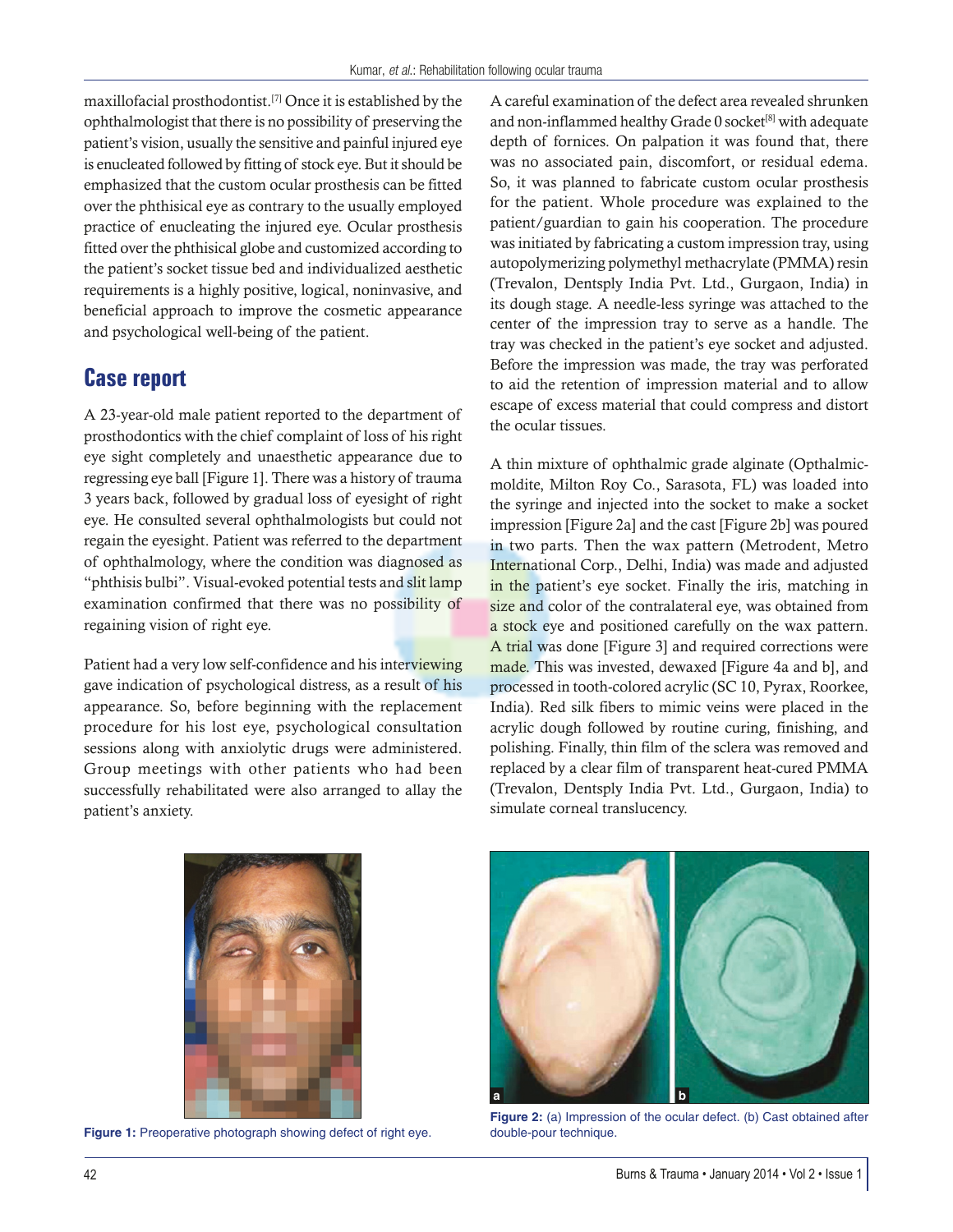maxillofacial prosthodontist.[7] Once it is established by the ophthalmologist that there is no possibility of preserving the patient's vision, usually the sensitive and painful injured eye is enucleated followed by fitting of stock eye. But it should be emphasized that the custom ocular prosthesis can be fitted over the phthisical eye as contrary to the usually employed practice of enucleating the injured eye. Ocular prosthesis fitted over the phthisical globe and customized according to the patient's socket tissue bed and individualized aesthetic requirements is a highly positive, logical, noninvasive, and beneficial approach to improve the cosmetic appearance and psychological well-being of the patient.

### **Case report**

A 23-year-old male patient reported to the department of prosthodontics with the chief complaint of loss of his right eye sight completely and unaesthetic appearance due to regressing eye ball [Figure 1]. There was a history of trauma 3 years back, followed by gradual loss of eyesight of right eye. He consulted several ophthalmologists but could not regain the eyesight. Patient was referred to the department of ophthalmology, where the condition was diagnosed as "phthisis bulbi". Visual-evoked potential tests and slit lamp examination confirmed that there was no possibility of regaining vision of right eye.

Patient had a very low self-confidence and his interviewing gave indication of psychological distress, as a result of his appearance. So, before beginning with the replacement procedure for his lost eye, psychological consultation sessions along with anxiolytic drugs were administered. Group meetings with other patients who had been successfully rehabilitated were also arranged to allay the patient's anxiety.

A careful examination of the defect area revealed shrunken and non-inflammed healthy Grade 0 socket<sup>[8]</sup> with adequate depth of fornices. On palpation it was found that, there was no associated pain, discomfort, or residual edema. So, it was planned to fabricate custom ocular prosthesis for the patient. Whole procedure was explained to the patient/guardian to gain his cooperation. The procedure was initiated by fabricating a custom impression tray, using autopolymerizing polymethyl methacrylate (PMMA) resin (Trevalon, Dentsply India Pvt. Ltd., Gurgaon, India) in its dough stage. A needle-less syringe was attached to the center of the impression tray to serve as a handle. The tray was checked in the patient's eye socket and adjusted. Before the impression was made, the tray was perforated to aid the retention of impression material and to allow escape of excess material that could compress and distort the ocular tissues.

A thin mixture of ophthalmic grade alginate (Opthalmicmoldite, Milton Roy Co., Sarasota, FL) was loaded into the syringe and injected into the socket to make a socket impression [Figure 2a] and the cast [Figure 2b] was poured in two parts. Then the wax pattern (Metrodent, Metro International Corp., Delhi, India) was made and adjusted in the patient's eye socket. Finally the iris, matching in size and color of the contralateral eye, was obtained from a stock eye and positioned carefully on the wax pattern. A trial was done [Figure 3] and required corrections were made. This was invested, dewaxed [Figure 4a and b], and processed in tooth-colored acrylic (SC 10, Pyrax, Roorkee, India). Red silk fibers to mimic veins were placed in the acrylic dough followed by routine curing, finishing, and polishing. Finally, thin film of the sclera was removed and replaced by a clear film of transparent heat-cured PMMA (Trevalon, Dentsply India Pvt. Ltd., Gurgaon, India) to simulate corneal translucency.



**Figure 1:** Preoperative photograph showing defect of right eye.



**Figure 2:** (a) Impression of the ocular defect. (b) Cast obtained after double-pour technique.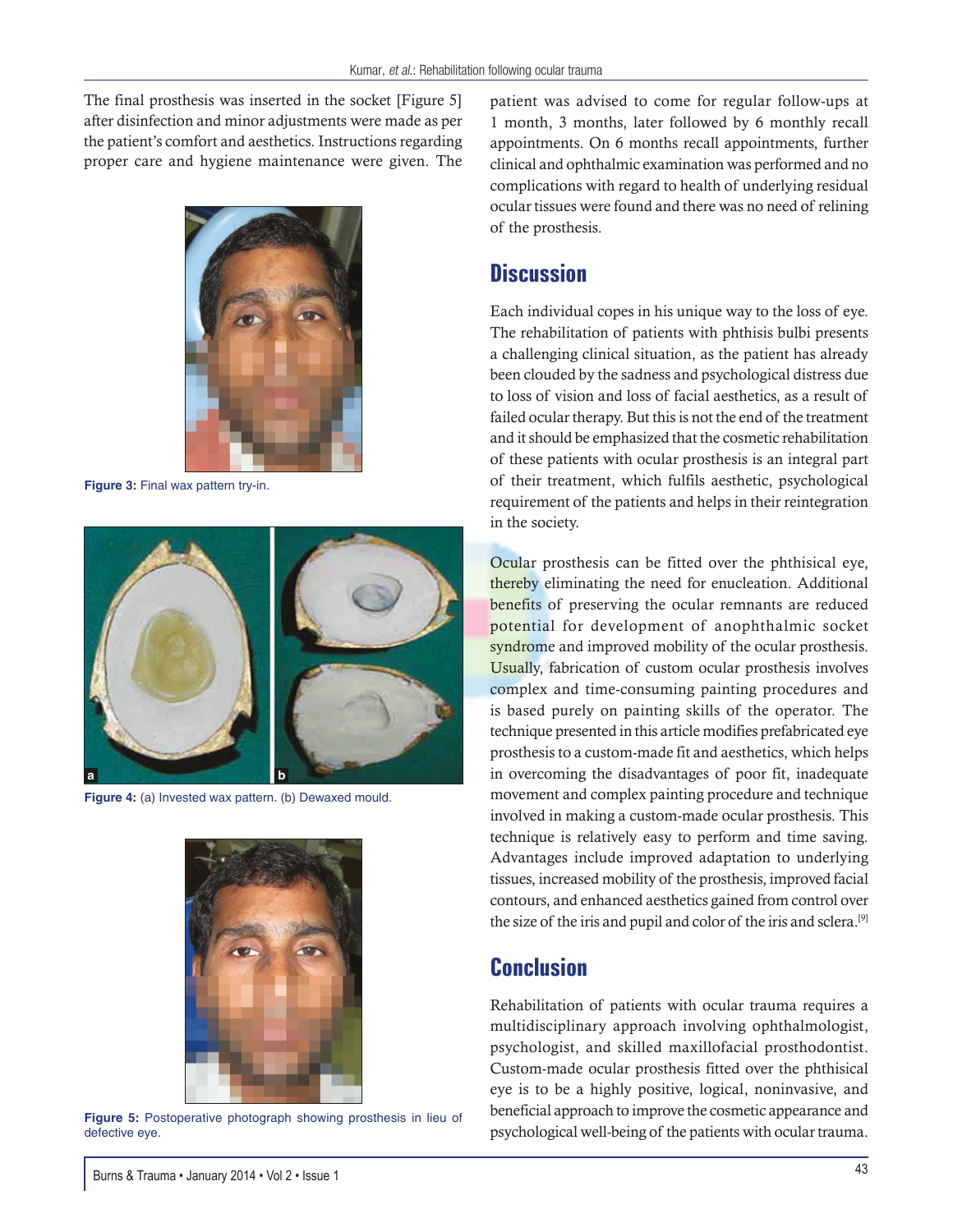The final prosthesis was inserted in the socket [Figure 5] after disinfection and minor adjustments were made as per the patient's comfort and aesthetics. Instructions regarding proper care and hygiene maintenance were given. The



**Figure 3:** Final wax pattern try-in.



Figure 4: (a) Invested wax pattern. (b) Dewaxed mould.



**Figure 5:** Postoperative photograph showing prosthesis in lieu of defective eye.

patient was advised to come for regular follow-ups at 1 month, 3 months, later followed by 6 monthly recall appointments. On 6 months recall appointments, further clinical and ophthalmic examination was performed and no complications with regard to health of underlying residual ocular tissues were found and there was no need of relining of the prosthesis.

#### **Discussion**

Each individual copes in his unique way to the loss of eye. The rehabilitation of patients with phthisis bulbi presents a challenging clinical situation, as the patient has already been clouded by the sadness and psychological distress due to loss of vision and loss of facial aesthetics, as a result of failed ocular therapy. But this is not the end of the treatment and it should be emphasized that the cosmetic rehabilitation of these patients with ocular prosthesis is an integral part of their treatment, which fulfils aesthetic, psychological requirement of the patients and helps in their reintegration in the society.

Ocular prosthesis can be fitted over the phthisical eye, thereby eliminating the need for enucleation. Additional benefits of preserving the ocular remnants are reduced potential for development of anophthalmic socket syndrome and improved mobility of the ocular prosthesis. Usually, fabrication of custom ocular prosthesis involves complex and time-consuming painting procedures and is based purely on painting skills of the operator. The technique presented in this article modifies prefabricated eye prosthesis to a custom-made fit and aesthetics, which helps in overcoming the disadvantages of poor fit, inadequate movement and complex painting procedure and technique involved in making a custom-made ocular prosthesis. This technique is relatively easy to perform and time saving. Advantages include improved adaptation to underlying tissues, increased mobility of the prosthesis, improved facial contours, and enhanced aesthetics gained from control over the size of the iris and pupil and color of the iris and sclera.[9]

#### **Conclusion**

Rehabilitation of patients with ocular trauma requires a multidisciplinary approach involving ophthalmologist, psychologist, and skilled maxillofacial prosthodontist. Custom-made ocular prosthesis fitted over the phthisical eye is to be a highly positive, logical, noninvasive, and beneficial approach to improve the cosmetic appearance and psychological well-being of the patients with ocular trauma.